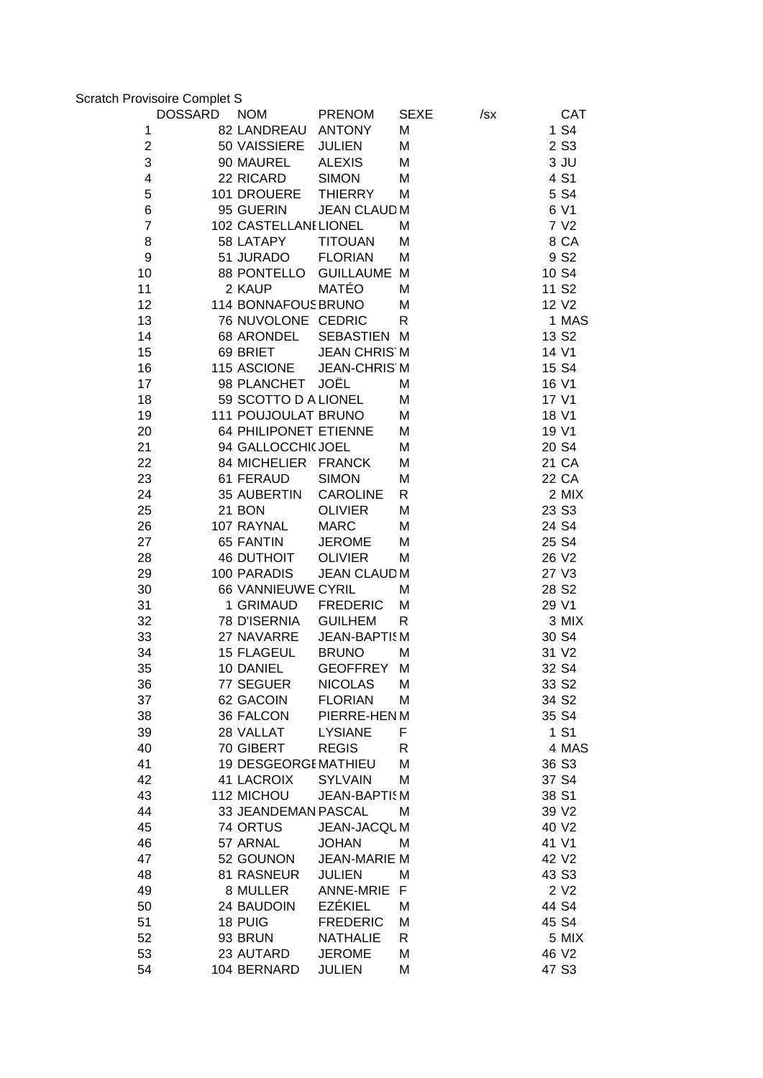| <b>Scratch Provisoire Complet S</b> |                       |                     |             |     |                   |
|-------------------------------------|-----------------------|---------------------|-------------|-----|-------------------|
| <b>DOSSARD</b>                      | <b>NOM</b>            | <b>PRENOM</b>       | <b>SEXE</b> | /sx | <b>CAT</b>        |
| 1                                   | 82 LANDREAU           | <b>ANTONY</b>       | Μ           |     | 1 S4              |
| $\mathbf{2}$                        | 50 VAISSIERE          | <b>JULIEN</b>       | M           |     | 2 S <sub>3</sub>  |
| 3                                   | 90 MAUREL             | <b>ALEXIS</b>       | M           |     | $3$ JU            |
| 4                                   | 22 RICARD             | <b>SIMON</b>        | M           |     | 4 S1              |
| 5                                   | 101 DROUERE           | <b>THIERRY</b>      | M           |     | 5 S4              |
| 6                                   | 95 GUERIN             | <b>JEAN CLAUD M</b> |             |     | 6 V1              |
| $\overline{7}$                      | 102 CASTELLANI LIONEL |                     | M           |     | 7 V <sub>2</sub>  |
| 8                                   | 58 LATAPY             | <b>TITOUAN</b>      | M           |     | 8 CA              |
| 9                                   | 51 JURADO             | <b>FLORIAN</b>      | M           |     | 9 S <sub>2</sub>  |
| 10                                  | 88 PONTELLO           | <b>GUILLAUME M</b>  |             |     | 10 S4             |
| 11                                  | 2 KAUP                | <b>MATÉO</b>        | M           |     | 11 S <sub>2</sub> |
| 12                                  | 114 BONNAFOUS BRUNO   |                     | M           |     | 12 V <sub>2</sub> |
| 13                                  | 76 NUVOLONE CEDRIC    |                     | R           |     | 1 MAS             |
| 14                                  | 68 ARONDEL            | SEBASTIEN M         |             |     | 13 S <sub>2</sub> |
| 15                                  | 69 BRIET              | <b>JEAN CHRIS M</b> |             |     | 14 V1             |
| 16                                  | 115 ASCIONE           | <b>JEAN-CHRIS M</b> |             |     | 15 S4             |
| 17                                  | 98 PLANCHET           | JOËL                | М           |     | 16 V1             |
| 18                                  | 59 SCOTTO D A LIONEL  |                     | M           |     | 17 V1             |
| 19                                  | 111 POUJOULAT BRUNO   |                     | M           |     | 18 V1             |
| 20                                  | 64 PHILIPONET ETIENNE |                     | M           |     | 19 V1             |
| 21                                  | 94 GALLOCCHI(JOEL     |                     | M           |     | 20 S4             |
| 22                                  | 84 MICHELIER FRANCK   |                     | M           |     | 21 CA             |
| 23                                  | 61 FERAUD             | <b>SIMON</b>        | M           |     | 22 CA             |
| 24                                  | 35 AUBERTIN           | <b>CAROLINE</b>     | R           |     | 2 MIX             |
| 25                                  | 21 BON                | <b>OLIVIER</b>      | M           |     | 23 S <sub>3</sub> |
| 26                                  | 107 RAYNAL            | <b>MARC</b>         | M           |     | 24 S4             |
| 27                                  | 65 FANTIN             | <b>JEROME</b>       | M           |     | 25 S4             |
| 28                                  | <b>46 DUTHOIT</b>     | <b>OLIVIER</b>      | M           |     | 26 V2             |
| 29                                  | 100 PARADIS           | <b>JEAN CLAUD M</b> |             |     | 27 V3             |
| 30                                  | 66 VANNIEUWE CYRIL    |                     | M           |     | 28 S <sub>2</sub> |
| 31                                  | 1 GRIMAUD             | <b>FREDERIC</b>     | M           |     | 29 V1             |
| 32                                  | 78 D'ISERNIA          | <b>GUILHEM</b>      | R           |     | 3 MIX             |
| 33                                  | 27 NAVARRE            | <b>JEAN-BAPTISM</b> |             |     | 30 S4             |
| 34                                  | 15 FLAGEUL            | <b>BRUNO</b>        | M           |     | 31 V2             |
| 35                                  | 10 DANIEL             | <b>GEOFFREY</b>     | M           |     | 32 S4             |
| 36                                  | 77 SEGUER             | <b>NICOLAS</b>      | Μ           |     | 33 S <sub>2</sub> |
| 37                                  | 62 GACOIN             | <b>FLORIAN</b>      | M           |     | 34 S <sub>2</sub> |
| 38                                  | 36 FALCON             | PIERRE-HEN M        |             |     | 35 S4             |
| 39                                  | 28 VALLAT             | <b>LYSIANE</b>      | F           |     | 1 S1              |
| 40                                  | 70 GIBERT             | <b>REGIS</b>        | R           |     | 4 MAS             |
| 41                                  | 19 DESGEORGEMATHIEU   |                     | M           |     | 36 S <sub>3</sub> |
| 42                                  | <b>41 LACROIX</b>     | <b>SYLVAIN</b>      | M           |     | 37 S4             |
| 43                                  | 112 MICHOU            | <b>JEAN-BAPTISM</b> |             |     | 38 S1             |
| 44                                  | 33 JEANDEMAN PASCAL   |                     | M           |     | 39 V2             |
| 45                                  | 74 ORTUS              | JEAN-JACQUM         |             |     | 40 V2             |
| 46                                  | 57 ARNAL              | <b>JOHAN</b>        | M           |     | 41 V1             |
| 47                                  | 52 GOUNON             | <b>JEAN-MARIE M</b> |             |     | 42 V2             |
| 48                                  | 81 RASNEUR            | <b>JULIEN</b>       | Μ           |     | 43 S3             |
| 49                                  | 8 MULLER              | <b>ANNE-MRIE</b>    | F           |     | 2 V <sub>2</sub>  |
| 50                                  | 24 BAUDOIN            | <b>EZÉKIEL</b>      | M           |     | 44 S4             |
| 51                                  | 18 PUIG               | <b>FREDERIC</b>     | M           |     | 45 S4             |
| 52                                  | 93 BRUN               | <b>NATHALIE</b>     | R           |     | 5 MIX             |
| 53                                  | 23 AUTARD             | <b>JEROME</b>       | M           |     | 46 V2             |
| 54                                  | 104 BERNARD           | <b>JULIEN</b>       | M           |     | 47 S3             |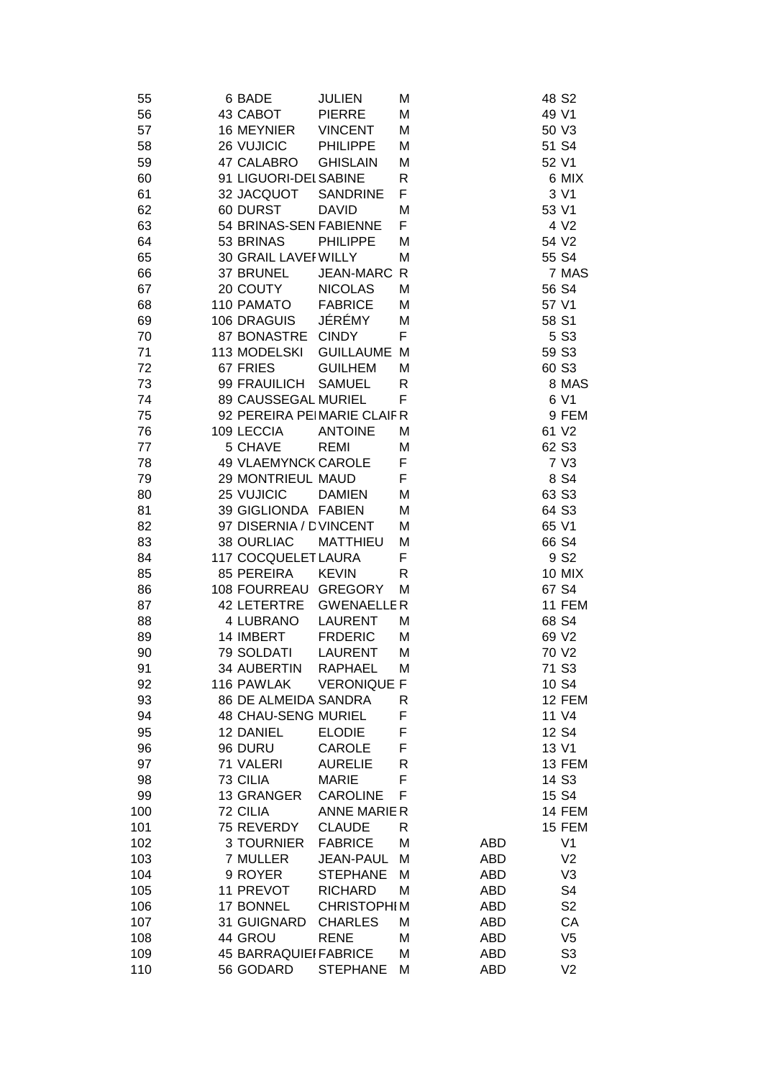| 55  | 6 BADE                       | <b>JULIEN</b>      | М |            | 48 S <sub>2</sub> |
|-----|------------------------------|--------------------|---|------------|-------------------|
| 56  | 43 CABOT                     | <b>PIERRE</b>      | Μ |            | 49 V1             |
| 57  | 16 MEYNIER                   | <b>VINCENT</b>     | Μ |            | 50 V3             |
| 58  | 26 VUJICIC                   | <b>PHILIPPE</b>    | Μ |            | 51 S4             |
| 59  | 47 CALABRO                   | <b>GHISLAIN</b>    | M |            | 52 V1             |
| 60  | 91 LIGUORI-DEI SABINE        |                    | R |            | 6 MIX             |
| 61  | 32 JACQUOT                   | <b>SANDRINE</b>    | F |            | 3 V1              |
| 62  | 60 DURST                     | <b>DAVID</b>       | M |            | 53 V1             |
| 63  | 54 BRINAS-SEN FABIENNE       |                    | F |            | 4 V <sub>2</sub>  |
| 64  | 53 BRINAS                    | <b>PHILIPPE</b>    | Μ |            | 54 V2             |
| 65  | 30 GRAIL LAVEF WILLY         |                    | M |            | 55 S4             |
| 66  | 37 BRUNEL                    | <b>JEAN-MARC R</b> |   |            | 7 MAS             |
| 67  | 20 COUTY                     | <b>NICOLAS</b>     | M |            | 56 S4             |
| 68  | 110 PAMATO                   | <b>FABRICE</b>     | Μ |            | 57 V1             |
| 69  | 106 DRAGUIS                  | JÉRÉMY             | Μ |            | 58 S1             |
| 70  | 87 BONASTRE                  | <b>CINDY</b>       | F |            | 5 S3              |
| 71  | 113 MODELSKI                 | <b>GUILLAUME M</b> |   |            | 59 S3             |
| 72  | 67 FRIES                     | <b>GUILHEM</b>     | Μ |            | 60 S3             |
| 73  | 99 FRAUILICH                 | <b>SAMUEL</b>      | R |            | 8 MAS             |
| 74  | 89 CAUSSEGAL MURIEL          |                    | F |            | 6 V1              |
| 75  | 92 PEREIRA PEIMARIE CLAIFR   |                    |   |            | 9 FEM             |
| 76  | 109 LECCIA                   | <b>ANTOINE</b>     | Μ |            | 61 V2             |
| 77  | 5 CHAVE                      | <b>REMI</b>        | M |            | 62 S <sub>3</sub> |
| 78  | <b>49 VLAEMYNCK CAROLE</b>   |                    | F |            | 7 V3              |
| 79  | 29 MONTRIEUL MAUD            |                    | F |            | 8 S4              |
| 80  | 25 VUJICIC                   | <b>DAMIEN</b>      | M |            | 63 S3             |
| 81  | 39 GIGLIONDA FABIEN          |                    | M |            | 64 S3             |
| 82  | 97 DISERNIA / DVINCENT       |                    | Μ |            | 65 V1             |
| 83  | <b>38 OURLIAC</b>            | <b>MATTHIEU</b>    | M |            | 66 S4             |
| 84  | 117 COCQUELET LAURA          |                    | F |            | 9 S <sub>2</sub>  |
| 85  | 85 PEREIRA                   | <b>KEVIN</b>       | R |            | <b>10 MIX</b>     |
| 86  | 108 FOURREAU                 | <b>GREGORY</b>     | Μ |            | 67 S4             |
| 87  | 42 LETERTRE                  | <b>GWENAELLER</b>  |   |            | 11 FEM            |
| 88  | 4 LUBRANO                    | <b>LAURENT</b>     | M |            | 68 S4             |
| 89  | 14 IMBERT                    | <b>FRDERIC</b>     | Μ |            | 69 V2             |
| 90  | 79 SOLDATI                   | <b>LAURENT</b>     | Μ |            | 70 V2             |
| 91  | 34 AUBERTIN                  | RAPHAEL            | М |            | 71 S3             |
| 92  | 116 PAWLAK                   | <b>VERONIQUE F</b> |   |            | 10 S4             |
| 93  | 86 DE ALMEIDA SANDRA         |                    | R |            | 12 FEM            |
| 94  | <b>48 CHAU-SENG MURIEL</b>   |                    | F |            | 11 V4             |
| 95  | 12 DANIEL                    | <b>ELODIE</b>      | F |            | 12 S4             |
| 96  | 96 DURU                      | <b>CAROLE</b>      | F |            | 13 V1             |
| 97  | 71 VALERI                    | <b>AURELIE</b>     | R |            | 13 FEM            |
| 98  | 73 CILIA                     | <b>MARIE</b>       | F |            | 14 S3             |
| 99  | 13 GRANGER                   | <b>CAROLINE</b>    | F |            | 15 S4             |
| 100 | 72 CILIA                     | <b>ANNE MARIER</b> |   |            | 14 FEM            |
| 101 | 75 REVERDY                   | <b>CLAUDE</b>      | R |            | 15 FEM            |
| 102 | 3 TOURNIER                   | <b>FABRICE</b>     | M | <b>ABD</b> | V <sub>1</sub>    |
| 103 | 7 MULLER                     | <b>JEAN-PAUL</b>   | M | <b>ABD</b> | V <sub>2</sub>    |
| 104 | 9 ROYER                      | <b>STEPHANE</b>    | М | <b>ABD</b> | V3                |
| 105 | 11 PREVOT                    | <b>RICHARD</b>     | Μ | <b>ABD</b> | S4                |
| 106 | 17 BONNEL                    | <b>CHRISTOPHIM</b> |   | <b>ABD</b> | S <sub>2</sub>    |
| 107 | 31 GUIGNARD                  | <b>CHARLES</b>     | М | <b>ABD</b> | CA                |
| 108 | 44 GROU                      | <b>RENE</b>        | M | <b>ABD</b> | V <sub>5</sub>    |
| 109 | <b>45 BARRAQUIEI FABRICE</b> |                    | Μ | <b>ABD</b> | S <sub>3</sub>    |
| 110 | 56 GODARD                    | <b>STEPHANE</b>    | Μ | <b>ABD</b> | V <sub>2</sub>    |
|     |                              |                    |   |            |                   |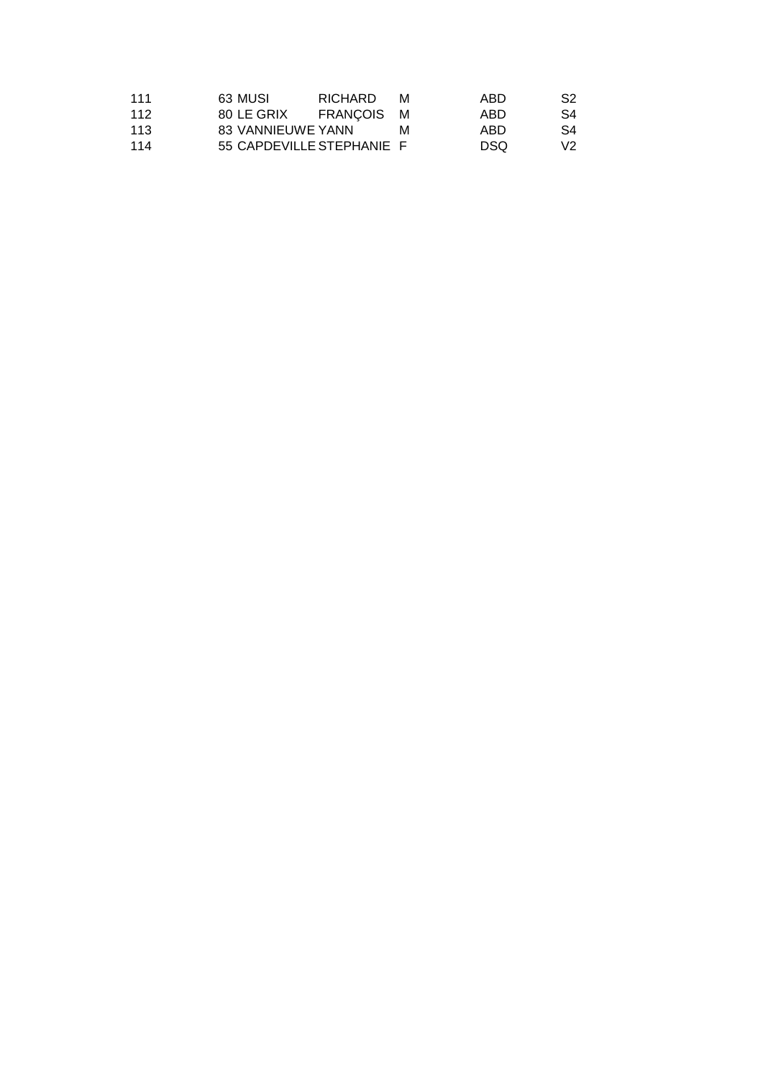| 111 | 63 MUSI                   | <b>RICHARD</b> | M | ABD  | S <sub>2</sub> |
|-----|---------------------------|----------------|---|------|----------------|
| 112 | 80 LE GRIX                | FRANCOIS M     |   | ABD  | S4             |
| 113 | 83 VANNIEUWE YANN         |                | M | ARD. | S4             |
| 114 | 55 CAPDEVILLE STEPHANIE F |                |   | DSO. | V <sub>2</sub> |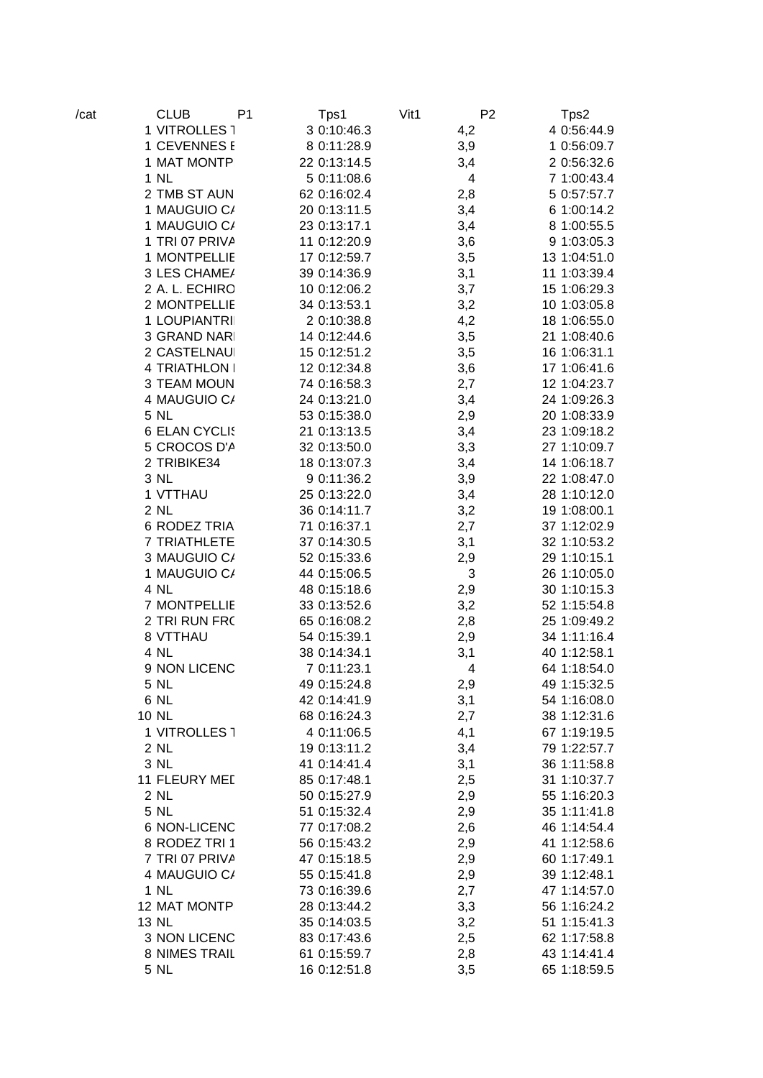| /cat | <b>CLUB</b><br>P <sub>1</sub> | Tps1         | Vit1<br>P <sub>2</sub> | Tps2         |
|------|-------------------------------|--------------|------------------------|--------------|
|      | 1 VITROLLES 1                 | 3 0:10:46.3  | 4,2                    | 4 0:56:44.9  |
|      | 1 CEVENNES E                  | 8 0:11:28.9  | 3,9                    | 1 0:56:09.7  |
|      | 1 MAT MONTP                   | 22 0:13:14.5 | 3,4                    | 2 0:56:32.6  |
|      | 1 NL                          | 5 0:11:08.6  | 4                      | 7 1:00:43.4  |
|      | 2 TMB ST AUN                  | 62 0:16:02.4 | 2,8                    | 5 0:57:57.7  |
|      | 1 MAUGUIO C/                  | 20 0:13:11.5 | 3,4                    | 6 1:00:14.2  |
|      | 1 MAUGUIO C/                  | 23 0:13:17.1 | 3,4                    | 8 1:00:55.5  |
|      | 1 TRI 07 PRIVA                | 11 0:12:20.9 | 3,6                    | 9 1:03:05.3  |
|      | 1 MONTPELLIE                  | 17 0:12:59.7 | 3,5                    | 13 1:04:51.0 |
|      | 3 LES CHAME/                  | 39 0:14:36.9 | 3,1                    | 11 1:03:39.4 |
|      | 2 A. L. ECHIRO                | 10 0:12:06.2 | 3,7                    | 15 1:06:29.3 |
|      | 2 MONTPELLIE                  | 34 0:13:53.1 | 3,2                    | 10 1:03:05.8 |
|      | 1 LOUPIANTRI                  | 2 0:10:38.8  | 4,2                    | 18 1:06:55.0 |
|      | 3 GRAND NARI                  | 14 0:12:44.6 | 3,5                    | 21 1:08:40.6 |
|      | 2 CASTELNAU                   | 15 0:12:51.2 | 3,5                    | 16 1:06:31.1 |
|      | 4 TRIATHLON I                 | 12 0:12:34.8 | 3,6                    | 17 1:06:41.6 |
|      | 3 TEAM MOUN                   | 74 0:16:58.3 | 2,7                    | 12 1:04:23.7 |
|      | 4 MAUGUIO C/                  | 24 0:13:21.0 | 3,4                    | 24 1:09:26.3 |
|      | 5 NL                          | 53 0:15:38.0 | 2,9                    | 20 1:08:33.9 |
|      | 6 ELAN CYCLIS                 | 21 0:13:13.5 | 3,4                    | 23 1:09:18.2 |
|      | 5 CROCOS D'A                  | 32 0:13:50.0 | 3,3                    | 27 1:10:09.7 |
|      | 2 TRIBIKE34                   | 18 0:13:07.3 | 3,4                    | 14 1:06:18.7 |
|      | 3 NL                          | 9 0:11:36.2  | 3,9                    | 22 1:08:47.0 |
|      | 1 VTTHAU                      | 25 0:13:22.0 | 3,4                    | 28 1:10:12.0 |
|      | 2 NL                          | 36 0:14:11.7 | 3,2                    | 19 1:08:00.1 |
|      | <b>6 RODEZ TRIA</b>           | 71 0:16:37.1 | 2,7                    | 37 1:12:02.9 |
|      | 7 TRIATHLETE                  | 37 0:14:30.5 | 3,1                    | 32 1:10:53.2 |
|      | 3 MAUGUIO C/                  | 52 0:15:33.6 | 2,9                    | 29 1:10:15.1 |
|      | 1 MAUGUIO C/                  | 44 0:15:06.5 | 3                      | 26 1:10:05.0 |
|      | 4 NL                          | 48 0:15:18.6 | 2,9                    | 30 1:10:15.3 |
|      | 7 MONTPELLIE                  | 33 0:13:52.6 | 3,2                    | 52 1:15:54.8 |
|      | 2 TRI RUN FRC                 | 65 0:16:08.2 | 2,8                    | 25 1:09:49.2 |
|      | 8 VTTHAU                      | 54 0:15:39.1 | 2,9                    | 34 1:11:16.4 |
|      | 4 NL                          | 38 0:14:34.1 | 3,1                    | 40 1:12:58.1 |
|      | 9 NON LICENC                  | 7 0:11:23.1  | 4                      | 64 1:18:54.0 |
|      | 5 NL                          | 49 0:15:24.8 | 2,9                    | 49 1:15:32.5 |
|      | 6 NL                          | 42 0:14:41.9 | 3,1                    | 54 1:16:08.0 |
|      | 10 NL                         | 68 0:16:24.3 | 2,7                    | 38 1:12:31.6 |
|      | 1 VITROLLES 1                 | 4 0:11:06.5  | 4,1                    | 67 1:19:19.5 |
|      | 2 NL                          | 19 0:13:11.2 | 3,4                    | 79 1:22:57.7 |
|      | 3 NL                          | 41 0:14:41.4 | 3,1                    | 36 1:11:58.8 |
|      | 11 FLEURY MED                 | 85 0:17:48.1 | 2,5                    | 31 1:10:37.7 |
|      | 2 NL                          | 50 0:15:27.9 |                        | 55 1:16:20.3 |
|      | 5 NL                          | 51 0:15:32.4 | 2,9                    | 35 1:11:41.8 |
|      | <b>6 NON-LICENC</b>           | 77 0:17:08.2 | 2,9                    | 46 1:14:54.4 |
|      | 8 RODEZ TRI 1                 |              | 2,6                    |              |
|      |                               | 56 0:15:43.2 | 2,9                    | 41 1:12:58.6 |
|      | 7 TRI 07 PRIVA                | 47 0:15:18.5 | 2,9                    | 60 1:17:49.1 |
|      | 4 MAUGUIO C/                  | 55 0:15:41.8 | 2,9                    | 39 1:12:48.1 |
|      | 1 NL                          | 73 0:16:39.6 | 2,7                    | 47 1:14:57.0 |
|      | 12 MAT MONTP                  | 28 0:13:44.2 | 3,3                    | 56 1:16:24.2 |
|      | 13 NL                         | 35 0:14:03.5 | 3,2                    | 51 1:15:41.3 |
|      | 3 NON LICENC                  | 83 0:17:43.6 | 2,5                    | 62 1:17:58.8 |
|      | 8 NIMES TRAIL                 | 61 0:15:59.7 | 2,8                    | 43 1:14:41.4 |
|      | 5 NL                          | 16 0:12:51.8 | 3,5                    | 65 1:18:59.5 |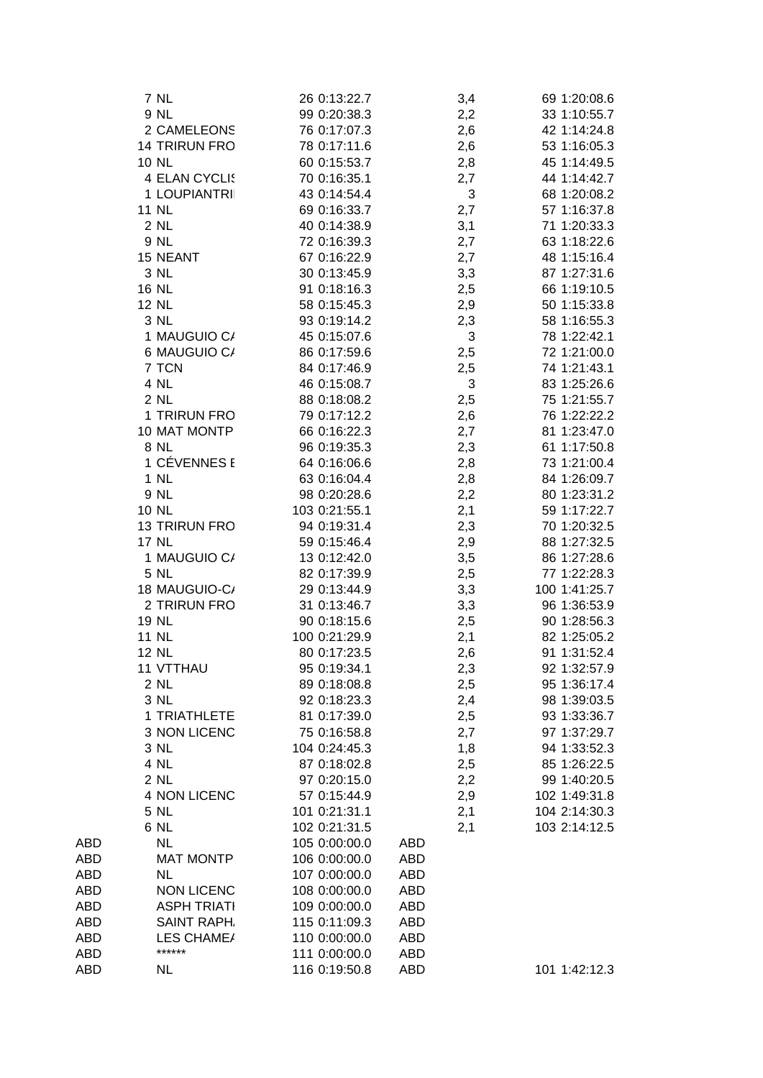|     | <b>7 NL</b>        | 26 0:13:22.7  | 3,4        | 69 1:20:08.6  |
|-----|--------------------|---------------|------------|---------------|
|     | 9 NL               | 99 0:20:38.3  | 2,2        | 33 1:10:55.7  |
|     | 2 CAMELEONS        | 76 0:17:07.3  | 2,6        | 42 1:14:24.8  |
|     | 14 TRIRUN FRO      | 78 0:17:11.6  | 2,6        | 53 1:16:05.3  |
|     | <b>10 NL</b>       | 60 0:15:53.7  | 2,8        | 45 1:14:49.5  |
|     | 4 ELAN CYCLIS      | 70 0:16:35.1  | 2,7        | 44 1:14:42.7  |
|     | 1 LOUPIANTRII      | 43 0:14:54.4  | 3          | 68 1:20:08.2  |
|     | 11 NL              | 69 0:16:33.7  | 2,7        | 57 1:16:37.8  |
|     | 2 NL               | 40 0:14:38.9  | 3,1        | 71 1:20:33.3  |
|     | 9 NL               | 72 0:16:39.3  | 2,7        | 63 1:18:22.6  |
|     | 15 NEANT           | 67 0:16:22.9  | 2,7        | 48 1:15:16.4  |
|     | 3 NL               | 30 0:13:45.9  | 3,3        | 87 1:27:31.6  |
|     | 16 NL              | 91 0:18:16.3  | 2,5        | 66 1:19:10.5  |
|     | 12 NL              | 58 0:15:45.3  | 2,9        | 50 1:15:33.8  |
|     | 3 NL               | 93 0:19:14.2  | 2,3        | 58 1:16:55.3  |
|     | 1 MAUGUIO C/       | 45 0:15:07.6  | 3          | 78 1:22:42.1  |
|     | 6 MAUGUIO C/       | 86 0:17:59.6  | 2,5        | 72 1:21:00.0  |
|     | 7 TCN              | 84 0:17:46.9  | 2,5        | 74 1:21:43.1  |
|     | 4 NL               | 46 0:15:08.7  | 3          | 83 1:25:26.6  |
|     | 2 NL               | 88 0:18:08.2  | 2,5        | 75 1:21:55.7  |
|     | 1 TRIRUN FRO       | 79 0:17:12.2  | 2,6        | 76 1:22:22.2  |
|     | 10 MAT MONTP       | 66 0:16:22.3  | 2,7        | 81 1:23:47.0  |
|     | 8 NL               | 96 0:19:35.3  | 2,3        | 61 1:17:50.8  |
|     | 1 CÉVENNES E       | 64 0:16:06.6  | 2,8        | 73 1:21:00.4  |
|     | 1 NL               | 63 0:16:04.4  | 2,8        | 84 1:26:09.7  |
|     | 9 NL               | 98 0:20:28.6  | 2,2        | 80 1:23:31.2  |
|     | 10 NL              | 103 0:21:55.1 | 2,1        | 59 1:17:22.7  |
|     | 13 TRIRUN FRO      | 94 0:19:31.4  | 2,3        | 70 1:20:32.5  |
|     | <b>17 NL</b>       | 59 0:15:46.4  | 2,9        | 88 1:27:32.5  |
|     | 1 MAUGUIO C/       | 13 0:12:42.0  | 3,5        | 86 1:27:28.6  |
|     | 5 NL               | 82 0:17:39.9  | 2,5        | 77 1:22:28.3  |
|     | 18 MAUGUIO-C/      | 29 0:13:44.9  | 3,3        | 100 1:41:25.7 |
|     | 2 TRIRUN FRO       | 31 0:13:46.7  | 3,3        | 96 1:36:53.9  |
|     | 19 NL              | 90 0:18:15.6  | 2,5        | 90 1:28:56.3  |
|     | <b>11 NL</b>       | 100 0:21:29.9 | 2,1        | 82 1:25:05.2  |
|     | <b>12 NL</b>       | 80 0:17:23.5  | 2,6        | 91 1:31:52.4  |
|     | 11 VTTHAU          | 95 0:19:34.1  | 2,3        | 92 1:32:57.9  |
|     | 2 NL               | 89 0:18:08.8  | 2,5        | 95 1:36:17.4  |
|     | 3 NL               | 92 0:18:23.3  | 2,4        | 98 1:39:03.5  |
|     | 1 TRIATHLETE       | 81 0:17:39.0  | 2,5        | 93 1:33:36.7  |
|     | 3 NON LICENC       | 75 0:16:58.8  | 2,7        | 97 1:37:29.7  |
|     | 3 NL               | 104 0:24:45.3 | 1,8        | 94 1:33:52.3  |
|     | 4 NL               | 87 0:18:02.8  | 2,5        | 85 1:26:22.5  |
|     | 2 NL               | 97 0:20:15.0  | 2,2        | 99 1:40:20.5  |
|     | 4 NON LICENC       | 57 0:15:44.9  | 2,9        | 102 1:49:31.8 |
|     | 5 NL               | 101 0:21:31.1 | 2,1        | 104 2:14:30.3 |
|     | 6 NL               | 102 0:21:31.5 | 2,1        | 103 2:14:12.5 |
| ABD | <b>NL</b>          | 105 0:00:00.0 | ABD        |               |
| ABD | <b>MAT MONTP</b>   | 106 0:00:00.0 | ABD        |               |
| ABD | <b>NL</b>          | 107 0:00:00.0 | ABD        |               |
| ABD | <b>NON LICENC</b>  | 108 0:00:00.0 | ABD        |               |
| ABD | <b>ASPH TRIATI</b> | 109 0:00:00.0 | ABD        |               |
| ABD | <b>SAINT RAPH.</b> | 115 0:11:09.3 | ABD        |               |
| ABD | LES CHAME/         | 110 0:00:00.0 | ABD        |               |
| ABD | ******             | 111 0:00:00.0 | ABD        |               |
| ABD | <b>NL</b>          | 116 0:19:50.8 | <b>ABD</b> | 101 1:42:12.3 |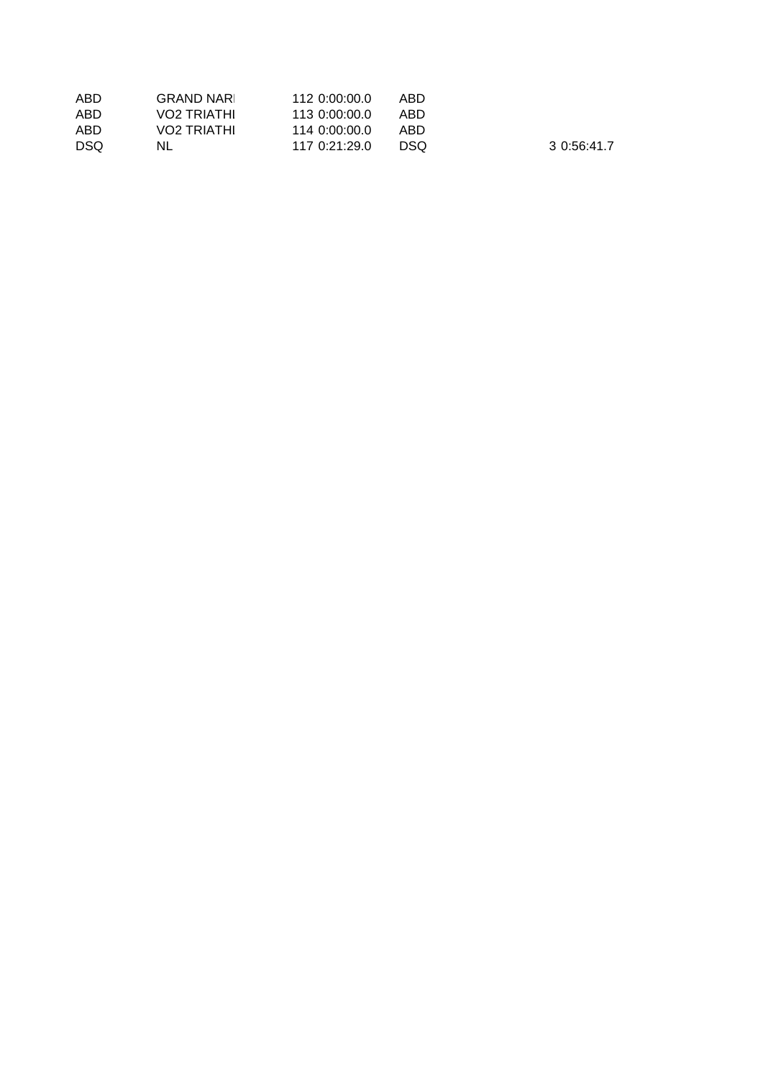| ABD  | <b>GRAND NARL</b> | 112 0:00:00.0 | ABD  |
|------|-------------------|---------------|------|
| ABD  | VO2 TRIATHI       | 113 0:00:00.0 | ABD  |
| ABD  | VO2 TRIATHI       | 114 0:00:00.0 | ABD  |
| DSO. | NL                | 117.0:21:29.0 | DSO. |

3 0:56:41.7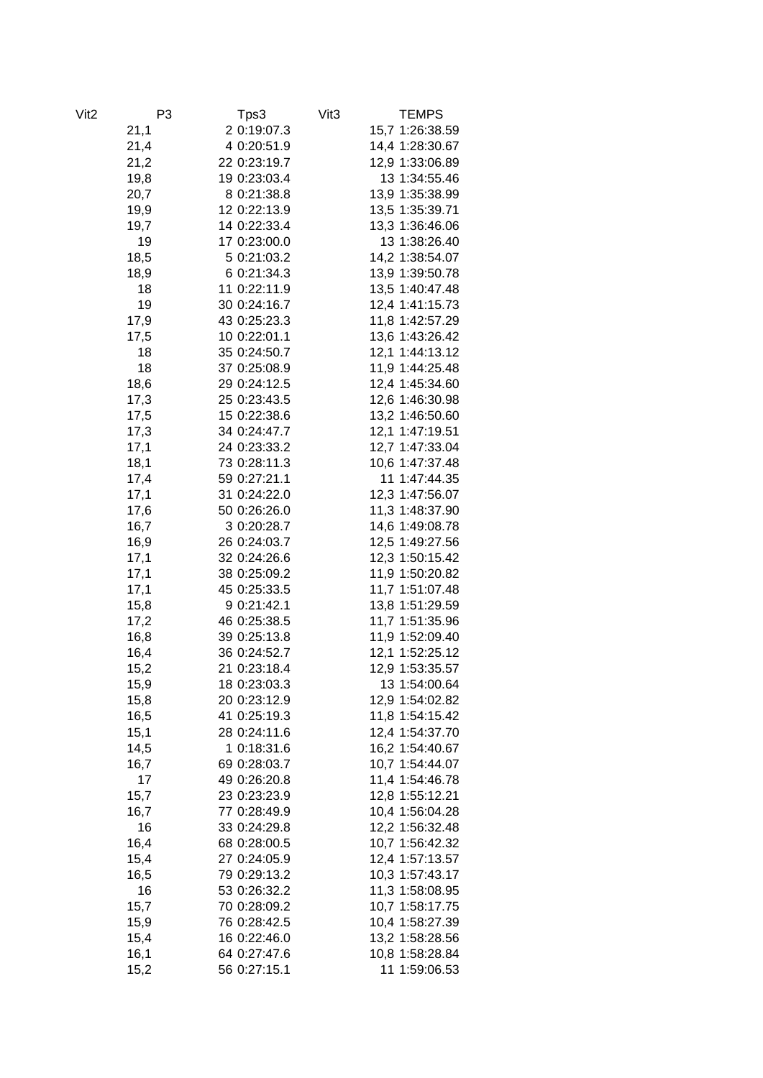| Vit <sub>2</sub> | P <sub>3</sub> | Tps3         | Vit <sub>3</sub> | <b>TEMPS</b>                       |
|------------------|----------------|--------------|------------------|------------------------------------|
|                  | 21,1           | 2 0:19:07.3  |                  | 15,7 1:26:38.59                    |
|                  | 21,4           | 4 0:20:51.9  |                  | 14,4 1:28:30.67                    |
|                  | 21,2           | 22 0:23:19.7 |                  | 12,9 1:33:06.89                    |
|                  | 19,8           | 19 0:23:03.4 |                  | 13 1:34:55.46                      |
|                  | 20,7           | 8 0:21:38.8  |                  | 13,9 1:35:38.99                    |
|                  | 19,9           | 12 0:22:13.9 |                  | 13,5 1:35:39.71                    |
|                  | 19,7           | 14 0:22:33.4 |                  | 13,3 1:36:46.06                    |
|                  | 19             | 17 0:23:00.0 |                  | 13 1:38:26.40                      |
|                  | 18,5           | 5 0:21:03.2  |                  | 14,2 1:38:54.07                    |
|                  | 18,9           | 6 0:21:34.3  |                  | 13,9 1:39:50.78                    |
|                  | 18             | 11 0:22:11.9 |                  | 13,5 1:40:47.48                    |
|                  | 19             | 30 0:24:16.7 |                  | 12,4 1:41:15.73                    |
|                  | 17,9           | 43 0:25:23.3 |                  | 11,8 1:42:57.29                    |
|                  | 17,5           | 10 0:22:01.1 |                  | 13,6 1:43:26.42                    |
|                  | 18             | 35 0:24:50.7 |                  | 12,1 1:44:13.12                    |
|                  | 18             | 37 0:25:08.9 |                  | 11,9 1:44:25.48                    |
|                  | 18,6           | 29 0:24:12.5 |                  | 12,4 1:45:34.60                    |
|                  | 17,3           | 25 0:23:43.5 |                  | 12,6 1:46:30.98                    |
|                  | 17,5           | 15 0:22:38.6 |                  | 13,2 1:46:50.60                    |
|                  | 17,3           | 34 0:24:47.7 |                  | 12,1 1:47:19.51                    |
|                  | 17,1           | 24 0:23:33.2 |                  | 12,7 1:47:33.04                    |
|                  | 18,1           | 73 0:28:11.3 |                  | 10,6 1:47:37.48                    |
|                  | 17,4           | 59 0:27:21.1 |                  | 11 1:47:44.35                      |
|                  | 17,1           | 31 0:24:22.0 |                  | 12,3 1:47:56.07                    |
|                  | 17,6           | 50 0:26:26.0 |                  | 11,3 1:48:37.90                    |
|                  | 16,7           | 3 0:20:28.7  |                  | 14,6 1:49:08.78                    |
|                  | 16,9           | 26 0:24:03.7 |                  | 12,5 1:49:27.56                    |
|                  | 17,1           | 32 0:24:26.6 |                  | 12,3 1:50:15.42                    |
|                  | 17,1           | 38 0:25:09.2 |                  | 11,9 1:50:20.82                    |
|                  | 17,1           | 45 0:25:33.5 |                  | 11,7 1:51:07.48                    |
|                  | 15,8           | 9 0:21:42.1  |                  | 13,8 1:51:29.59                    |
|                  | 17,2           | 46 0:25:38.5 |                  | 11,7 1:51:35.96                    |
|                  |                | 39 0:25:13.8 |                  |                                    |
|                  | 16,8<br>16,4   | 36 0:24:52.7 |                  | 11,9 1:52:09.40<br>12,1 1:52:25.12 |
|                  |                | 21 0:23:18.4 |                  |                                    |
|                  | 15,2           |              |                  | 12,9 1:53:35.57<br>13 1:54:00.64   |
|                  | 15,9           | 18 0:23:03.3 |                  |                                    |
|                  | 15,8           | 20 0:23:12.9 |                  | 12,9 1:54:02.82                    |
|                  | 16,5           | 41 0:25:19.3 |                  | 11,8 1:54:15.42                    |
|                  | 15,1           | 28 0:24:11.6 |                  | 12,4 1:54:37.70                    |
|                  | 14,5           | 1 0:18:31.6  |                  | 16,2 1:54:40.67                    |
|                  | 16,7           | 69 0:28:03.7 |                  | 10,7 1:54:44.07                    |
|                  | 17             | 49 0:26:20.8 |                  | 11,4 1:54:46.78                    |
|                  | 15,7           | 23 0:23:23.9 |                  | 12,8 1:55:12.21                    |
|                  | 16,7           | 77 0:28:49.9 |                  | 10,4 1:56:04.28                    |
|                  | 16             | 33 0:24:29.8 |                  | 12,2 1:56:32.48                    |
|                  | 16,4           | 68 0:28:00.5 |                  | 10,7 1:56:42.32                    |
|                  | 15,4           | 27 0:24:05.9 |                  | 12,4 1:57:13.57                    |
|                  | 16,5           | 79 0:29:13.2 |                  | 10,3 1:57:43.17                    |
|                  | 16             | 53 0:26:32.2 |                  | 11,3 1:58:08.95                    |
|                  | 15,7           | 70 0:28:09.2 |                  | 10,7 1:58:17.75                    |
|                  | 15,9           | 76 0:28:42.5 |                  | 10,4 1:58:27.39                    |
|                  | 15,4           | 16 0:22:46.0 |                  | 13,2 1:58:28.56                    |
|                  | 16,1           | 64 0:27:47.6 |                  | 10,8 1:58:28.84                    |
|                  | 15,2           | 56 0:27:15.1 |                  | 11 1:59:06.53                      |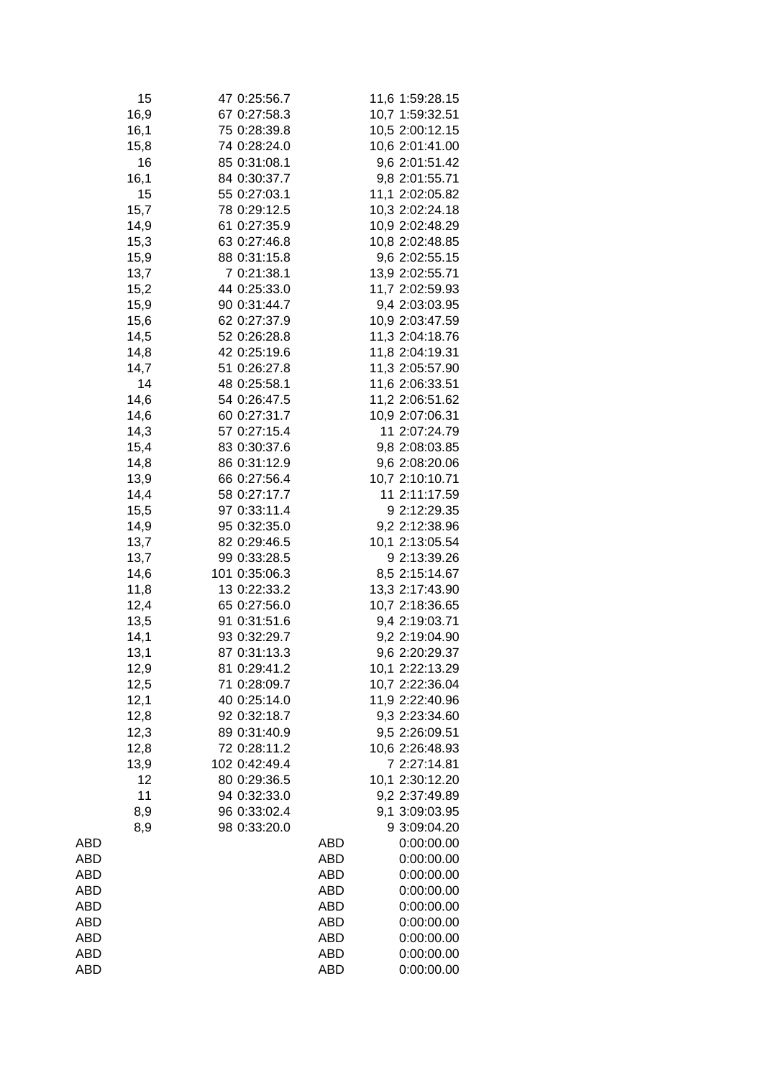| 15   | 47 0:25:56.7  |            | 11,6 1:59:28.15 |
|------|---------------|------------|-----------------|
| 16,9 | 67 0:27:58.3  |            | 10,7 1:59:32.51 |
| 16,1 | 75 0:28:39.8  |            | 10,5 2:00:12.15 |
| 15,8 | 74 0:28:24.0  |            | 10,6 2:01:41.00 |
| 16   | 85 0:31:08.1  |            | 9,6 2:01:51.42  |
| 16,1 | 84 0:30:37.7  |            | 9,8 2:01:55.71  |
| 15   | 55 0:27:03.1  |            | 11,1 2:02:05.82 |
| 15,7 | 78 0:29:12.5  |            | 10,3 2:02:24.18 |
| 14,9 | 61 0:27:35.9  |            | 10,9 2:02:48.29 |
| 15,3 | 63 0:27:46.8  |            | 10,8 2:02:48.85 |
| 15,9 | 88 0:31:15.8  |            | 9,6 2:02:55.15  |
| 13,7 | 7 0:21:38.1   |            | 13,9 2:02:55.71 |
|      |               |            |                 |
| 15,2 | 44 0:25:33.0  |            | 11,7 2:02:59.93 |
| 15,9 | 90 0:31:44.7  |            | 9,4 2:03:03.95  |
| 15,6 | 62 0:27:37.9  |            | 10,9 2:03:47.59 |
| 14,5 | 52 0:26:28.8  |            | 11,3 2:04:18.76 |
| 14,8 | 42 0:25:19.6  |            | 11,8 2:04:19.31 |
| 14,7 | 51 0:26:27.8  |            | 11,3 2:05:57.90 |
| 14   | 48 0:25:58.1  |            | 11,6 2:06:33.51 |
| 14,6 | 54 0:26:47.5  |            | 11,2 2:06:51.62 |
| 14,6 | 60 0:27:31.7  |            | 10,9 2:07:06.31 |
| 14,3 | 57 0:27:15.4  |            | 11 2:07:24.79   |
| 15,4 | 83 0:30:37.6  |            | 9,8 2:08:03.85  |
| 14,8 | 86 0:31:12.9  |            | 9,6 2:08:20.06  |
| 13,9 | 66 0:27:56.4  |            | 10,7 2:10:10.71 |
| 14,4 | 58 0:27:17.7  |            | 11 2:11:17.59   |
| 15,5 | 97 0:33:11.4  |            | 9 2:12:29.35    |
| 14,9 | 95 0:32:35.0  |            | 9,2 2:12:38.96  |
| 13,7 | 82 0:29:46.5  |            | 10,1 2:13:05.54 |
| 13,7 | 99 0:33:28.5  |            | 9 2:13:39.26    |
|      | 101 0:35:06.3 |            |                 |
| 14,6 |               |            | 8,5 2:15:14.67  |
| 11,8 | 13 0:22:33.2  |            | 13,3 2:17:43.90 |
| 12,4 | 65 0:27:56.0  |            | 10,7 2:18:36.65 |
| 13,5 | 91 0:31:51.6  |            | 9,4 2:19:03.71  |
| 14,1 | 93 0:32:29.7  |            | 9,2 2:19:04.90  |
| 13,1 | 87 0:31:13.3  |            | 9,6 2:20:29.37  |
| 12,9 | 81 0:29:41.2  |            | 10,1 2:22:13.29 |
| 12,5 | 71 0:28:09.7  |            | 10,7 2:22:36.04 |
| 12,1 | 40 0:25:14.0  |            | 11,9 2:22:40.96 |
| 12,8 | 92 0:32:18.7  |            | 9,3 2:23:34.60  |
| 12,3 | 89 0:31:40.9  |            | 9,5 2:26:09.51  |
| 12,8 | 72 0:28:11.2  |            | 10,6 2:26:48.93 |
| 13,9 | 102 0:42:49.4 |            | 7 2:27:14.81    |
| 12   | 80 0:29:36.5  |            | 10,1 2:30:12.20 |
| 11   | 94 0:32:33.0  |            | 9,2 2:37:49.89  |
| 8,9  | 96 0:33:02.4  |            | 9,1 3:09:03.95  |
| 8,9  | 98 0:33:20.0  |            | 9 3:09:04.20    |
| ABD  |               | ABD        | 0:00:00.00      |
| ABD  |               | ABD        | 0:00:00.00      |
| ABD  |               | ABD        | 0:00:00.00      |
|      |               |            |                 |
| ABD  |               | ABD        | 0:00:00.00      |
| ABD  |               | ABD        | 0:00:00.00      |
| ABD  |               | <b>ABD</b> | 0:00:00.00      |
| ABD  |               | <b>ABD</b> | 0:00:00.00      |
| ABD  |               | <b>ABD</b> | 0:00:00.00      |
| ABD  |               | <b>ABD</b> | 0:00:00.00      |